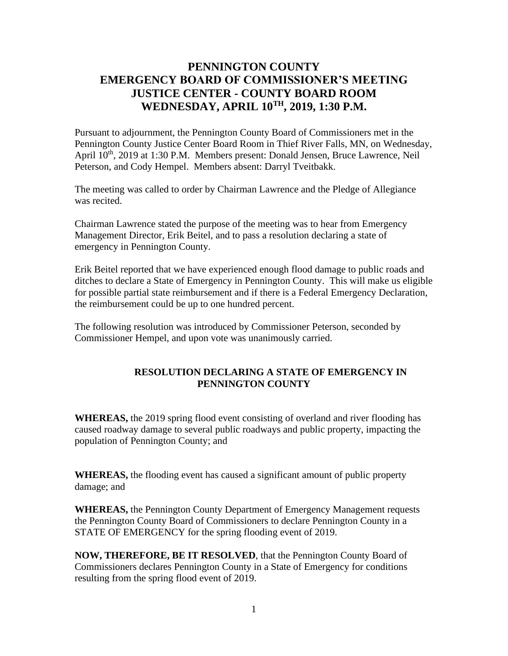## **PENNINGTON COUNTY EMERGENCY BOARD OF COMMISSIONER'S MEETING JUSTICE CENTER - COUNTY BOARD ROOM WEDNESDAY, APRIL 10TH , 2019, 1:30 P.M.**

Pursuant to adjournment, the Pennington County Board of Commissioners met in the Pennington County Justice Center Board Room in Thief River Falls, MN, on Wednesday, April  $10^{th}$ , 2019 at 1:30 P.M. Members present: Donald Jensen, Bruce Lawrence, Neil Peterson, and Cody Hempel. Members absent: Darryl Tveitbakk.

The meeting was called to order by Chairman Lawrence and the Pledge of Allegiance was recited.

Chairman Lawrence stated the purpose of the meeting was to hear from Emergency Management Director, Erik Beitel, and to pass a resolution declaring a state of emergency in Pennington County.

Erik Beitel reported that we have experienced enough flood damage to public roads and ditches to declare a State of Emergency in Pennington County. This will make us eligible for possible partial state reimbursement and if there is a Federal Emergency Declaration, the reimbursement could be up to one hundred percent.

The following resolution was introduced by Commissioner Peterson, seconded by Commissioner Hempel, and upon vote was unanimously carried.

## **RESOLUTION DECLARING A STATE OF EMERGENCY IN PENNINGTON COUNTY**

**WHEREAS,** the 2019 spring flood event consisting of overland and river flooding has caused roadway damage to several public roadways and public property, impacting the population of Pennington County; and

**WHEREAS,** the flooding event has caused a significant amount of public property damage; and

**WHEREAS,** the Pennington County Department of Emergency Management requests the Pennington County Board of Commissioners to declare Pennington County in a STATE OF EMERGENCY for the spring flooding event of 2019.

**NOW, THEREFORE, BE IT RESOLVED**, that the Pennington County Board of Commissioners declares Pennington County in a State of Emergency for conditions resulting from the spring flood event of 2019.